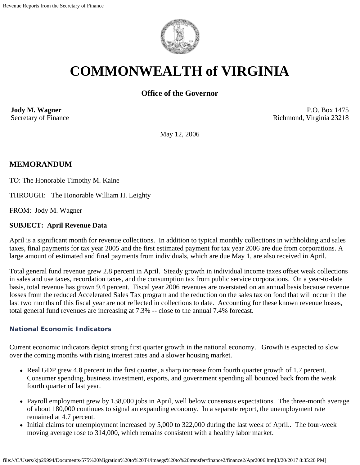

# **COMMONWEALTH of VIRGINIA**

# **Office of the Governor**

**Jody M. Wagner**  Secretary of Finance

P.O. Box 1475 Richmond, Virginia 23218

May 12, 2006

# **MEMORANDUM**

TO: The Honorable Timothy M. Kaine

THROUGH: The Honorable William H. Leighty

FROM: Jody M. Wagner

#### **SUBJECT: April Revenue Data**

April is a significant month for revenue collections. In addition to typical monthly collections in withholding and sales taxes, final payments for tax year 2005 and the first estimated payment for tax year 2006 are due from corporations. A large amount of estimated and final payments from individuals, which are due May 1, are also received in April.

Total general fund revenue grew 2.8 percent in April. Steady growth in individual income taxes offset weak collections in sales and use taxes, recordation taxes, and the consumption tax from public service corporations. On a year-to-date basis, total revenue has grown 9.4 percent. Fiscal year 2006 revenues are overstated on an annual basis because revenue losses from the reduced Accelerated Sales Tax program and the reduction on the sales tax on food that will occur in the last two months of this fiscal year are not reflected in collections to date. Accounting for these known revenue losses, total general fund revenues are increasing at 7.3% -- close to the annual 7.4% forecast.

#### **National Economic Indicators**

Current economic indicators depict strong first quarter growth in the national economy. Growth is expected to slow over the coming months with rising interest rates and a slower housing market.

- Real GDP grew 4.8 percent in the first quarter, a sharp increase from fourth quarter growth of 1.7 percent. Consumer spending, business investment, exports, and government spending all bounced back from the weak fourth quarter of last year.
- Payroll employment grew by 138,000 jobs in April, well below consensus expectations. The three-month average of about 180,000 continues to signal an expanding economy. In a separate report, the unemployment rate remained at 4.7 percent.
- Initial claims for unemployment increased by 5,000 to 322,000 during the last week of April.. The four-week moving average rose to 314,000, which remains consistent with a healthy labor market.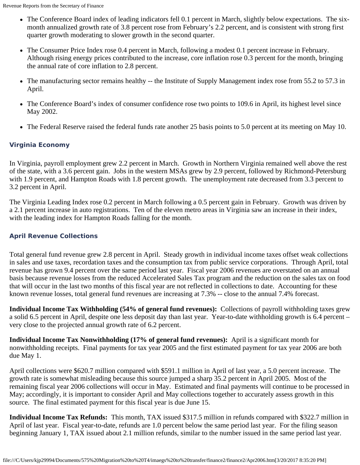- The Conference Board index of leading indicators fell 0.1 percent in March, slightly below expectations. The sixmonth annualized growth rate of 3.8 percent rose from February's 2.2 percent, and is consistent with strong first quarter growth moderating to slower growth in the second quarter.
- The Consumer Price Index rose 0.4 percent in March, following a modest 0.1 percent increase in February. Although rising energy prices contributed to the increase, core inflation rose 0.3 percent for the month, bringing the annual rate of core inflation to 2.8 percent.
- The manufacturing sector remains healthy -- the Institute of Supply Management index rose from 55.2 to 57.3 in April.
- The Conference Board's index of consumer confidence rose two points to 109.6 in April, its highest level since May 2002.
- The Federal Reserve raised the federal funds rate another 25 basis points to 5.0 percent at its meeting on May 10.

## **Virginia Economy**

In Virginia, payroll employment grew 2.2 percent in March. Growth in Northern Virginia remained well above the rest of the state, with a 3.6 percent gain. Jobs in the western MSAs grew by 2.9 percent, followed by Richmond-Petersburg with 1.9 percent, and Hampton Roads with 1.8 percent growth. The unemployment rate decreased from 3.3 percent to 3.2 percent in April.

The Virginia Leading Index rose 0.2 percent in March following a 0.5 percent gain in February. Growth was driven by a 2.1 percent increase in auto registrations. Ten of the eleven metro areas in Virginia saw an increase in their index, with the leading index for Hampton Roads falling for the month.

## **April Revenue Collections**

Total general fund revenue grew 2.8 percent in April. Steady growth in individual income taxes offset weak collections in sales and use taxes, recordation taxes and the consumption tax from public service corporations. Through April, total revenue has grown 9.4 percent over the same period last year. Fiscal year 2006 revenues are overstated on an annual basis because revenue losses from the reduced Accelerated Sales Tax program and the reduction on the sales tax on food that will occur in the last two months of this fiscal year are not reflected in collections to date. Accounting for these known revenue losses, total general fund revenues are increasing at 7.3% -- close to the annual 7.4% forecast.

**Individual Income Tax Withholding (54% of general fund revenues):** Collections of payroll withholding taxes grew a solid 6.5 percent in April, despite one less deposit day than last year. Year-to-date withholding growth is 6.4 percent – very close to the projected annual growth rate of 6.2 percent.

**Individual Income Tax Nonwithholding (17% of general fund revenues):** April is a significant month for nonwithholding receipts. Final payments for tax year 2005 and the first estimated payment for tax year 2006 are both due May 1.

April collections were \$620.7 million compared with \$591.1 million in April of last year, a 5.0 percent increase. The growth rate is somewhat misleading because this source jumped a sharp 35.2 percent in April 2005. Most of the remaining fiscal year 2006 collections will occur in May. Estimated and final payments will continue to be processed in May; accordingly, it is important to consider April and May collections together to accurately assess growth in this source. The final estimated payment for this fiscal year is due June 15.

**Individual Income Tax Refunds:** This month, TAX issued \$317.5 million in refunds compared with \$322.7 million in April of last year. Fiscal year-to-date, refunds are 1.0 percent below the same period last year. For the filing season beginning January 1, TAX issued about 2.1 million refunds, similar to the number issued in the same period last year.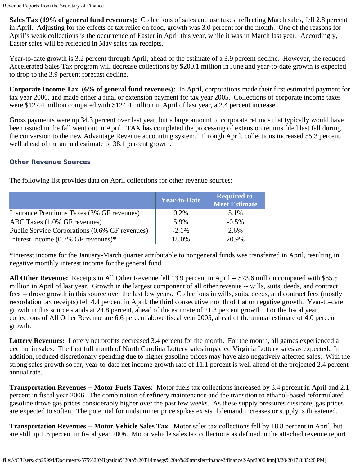**Sales Tax (19% of general fund revenues):** Collections of sales and use taxes, reflecting March sales, fell 2.8 percent in April. Adjusting for the effects of tax relief on food, growth was 3.0 percent for the month. One of the reasons for April's weak collections is the occurrence of Easter in April this year, while it was in March last year. Accordingly, Easter sales will be reflected in May sales tax receipts.

Year-to-date growth is 3.2 percent through April, ahead of the estimate of a 3.9 percent decline. However, the reduced Accelerated Sales Tax program will decrease collections by \$200.1 million in June and year-to-date growth is expected to drop to the 3.9 percent forecast decline.

**Corporate Income Tax (6% of general fund revenues):** In April, corporations made their first estimated payment for tax year 2006, and made either a final or extension payment for tax year 2005. Collections of corporate income taxes were \$127.4 million compared with \$124.4 million in April of last year, a 2.4 percent increase.

Gross payments were up 34.3 percent over last year, but a large amount of corporate refunds that typically would have been issued in the fall went out in April. TAX has completed the processing of extension returns filed last fall during the conversion to the new Advantage Revenue accounting system. Through April, collections increased 55.3 percent, well ahead of the annual estimate of 38.1 percent growth.

## **Other Revenue Sources**

|                                                | <b>Year-to-Date</b> | <b>Required to</b><br><b>Meet Estimate</b> |
|------------------------------------------------|---------------------|--------------------------------------------|
| Insurance Premiums Taxes (3% GF revenues)      | $0.2\%$             | 5.1%                                       |
| ABC Taxes (1.0% GF revenues)                   | 5.9%                | $-0.5\%$                                   |
| Public Service Corporations (0.6% GF revenues) | $-2.1%$             | 2.6%                                       |
| Interest Income $(0.7\% \text{ GF}$ revenues)* | 18.0%               | 20.9%                                      |

The following list provides data on April collections for other revenue sources:

\*Interest income for the January-March quarter attributable to nongeneral funds was transferred in April, resulting in negative monthly interest income for the general fund.

**All Other Revenue:** Receipts in All Other Revenue fell 13.9 percent in April -- \$73.6 million compared with \$85.5 million in April of last year. Growth in the largest component of all other revenue -- wills, suits, deeds, and contract fees -- drove growth in this source over the last few years. Collections in wills, suits, deeds, and contract fees (mostly recordation tax receipts) fell 4.4 percent in April, the third consecutive month of flat or negative growth. Year-to-date growth in this source stands at 24.8 percent, ahead of the estimate of 21.3 percent growth. For the fiscal year, collections of All Other Revenue are 6.6 percent above fiscal year 2005, ahead of the annual estimate of 4.0 percent growth.

**Lottery Revenues:** Lottery net profits decreased 3.4 percent for the month. For the month, all games experienced a decline in sales. The first full month of North Carolina Lottery sales impacted Virginia Lottery sales as expected. In addition, reduced discretionary spending due to higher gasoline prices may have also negatively affected sales. With the strong sales growth so far, year-to-date net income growth rate of 11.1 percent is well ahead of the projected 2.4 percent annual rate.

**Transportation Revenues -- Motor Fuels Taxes:** Motor fuels tax collections increased by 3.4 percent in April and 2.1 percent in fiscal year 2006. The combination of refinery maintenance and the transition to ethanol-based reformulated gasoline drove gas prices considerably higher over the past few weeks. As these supply pressures dissipate, gas prices are expected to soften. The potential for midsummer price spikes exists if demand increases or supply is threatened.

**Transportation Revenues -- Motor Vehicle Sales Tax**: Motor sales tax collections fell by 18.8 percent in April, but are still up 1.6 percent in fiscal year 2006. Motor vehicle sales tax collections as defined in the attached revenue report